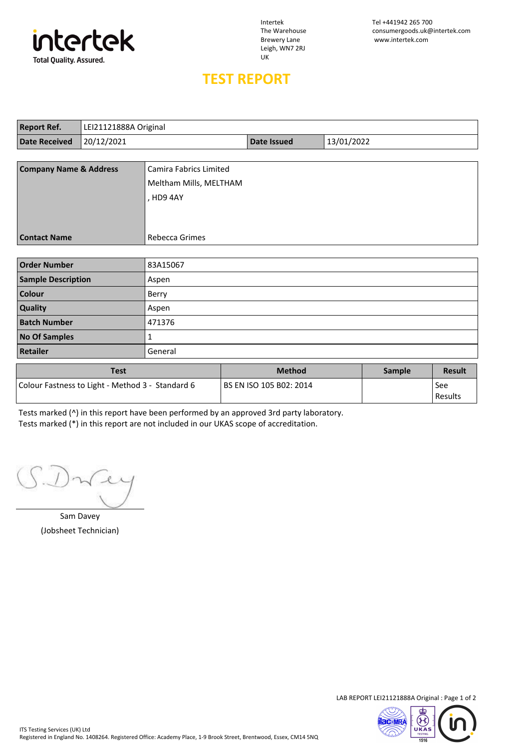

Leigh, WN7 2RJ UK

## **TEST REPORT**

| <b>Report Ref.</b>                | LEI21121888A Original |                        |                                  |  |               |               |
|-----------------------------------|-----------------------|------------------------|----------------------------------|--|---------------|---------------|
| <b>Date Received</b>              | 20/12/2021            |                        | 13/01/2022<br><b>Date Issued</b> |  |               |               |
|                                   |                       |                        |                                  |  |               |               |
| <b>Company Name &amp; Address</b> |                       | Camira Fabrics Limited |                                  |  |               |               |
|                                   |                       | Meltham Mills, MELTHAM |                                  |  |               |               |
|                                   |                       | , HD9 4AY              |                                  |  |               |               |
|                                   |                       |                        |                                  |  |               |               |
|                                   |                       |                        |                                  |  |               |               |
| <b>Contact Name</b>               |                       | Rebecca Grimes         |                                  |  |               |               |
|                                   |                       |                        |                                  |  |               |               |
| <b>Order Number</b>               |                       | 83A15067               |                                  |  |               |               |
| <b>Sample Description</b>         |                       | Aspen                  |                                  |  |               |               |
| Colour                            |                       | Berry                  |                                  |  |               |               |
| Quality                           |                       | Aspen                  |                                  |  |               |               |
| <b>Batch Number</b>               |                       | 471376                 |                                  |  |               |               |
| <b>No Of Samples</b>              |                       | 1                      |                                  |  |               |               |
| <b>Retailer</b>                   |                       | General                |                                  |  |               |               |
|                                   | <b>Test</b>           |                        | <b>Method</b>                    |  | <b>Sample</b> | <b>Result</b> |

| i est                                            | <b>Nethod</b>             | sample | <b>Result</b>  |
|--------------------------------------------------|---------------------------|--------|----------------|
| Colour Fastness to Light - Method 3 - Standard 6 | l BS EN ISO 105 B02: 2014 |        | See<br>Results |

Tests marked (^) in this report have been performed by an approved 3rd party laboratory. Tests marked (\*) in this report are not included in our UKAS scope of accreditation.

Sam Davey (Jobsheet Technician)

LAB REPORT LEI21121888A Original : Page 1 of 2